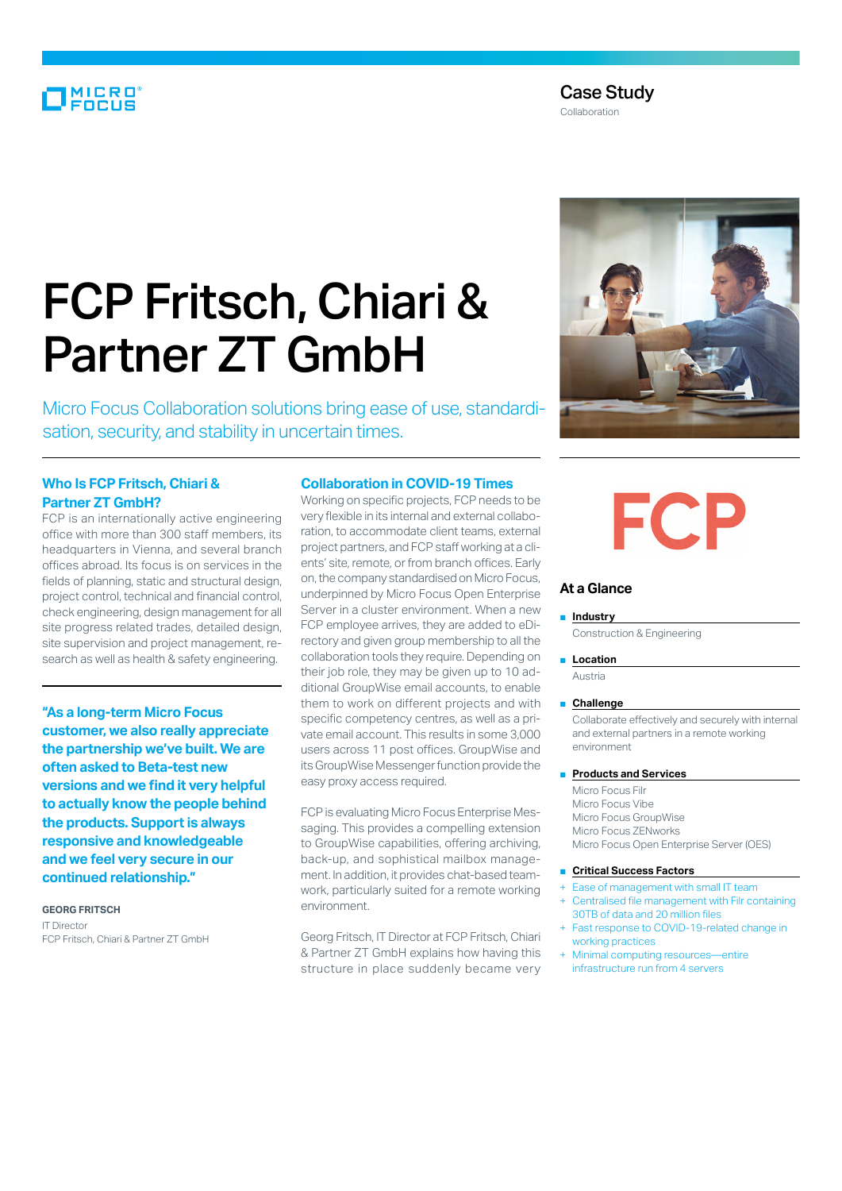### MICRO<sup>®</sup>

#### Case Study

Collaboration

## FCP Fritsch, Chiari & Partner ZT GmbH

Micro Focus Collaboration solutions bring ease of use, standardisation, security, and stability in uncertain times.

#### **Who Is FCP Fritsch, Chiari & Partner ZT GmbH?**

FCP is an internationally active engineering office with more than 300 staff members, its headquarters in Vienna, and several branch offices abroad. Its focus is on services in the fields of planning, static and structural design, project control, technical and financial control, check engineering, design management for all site progress related trades, detailed design, site supervision and project management, research as well as health & safety engineering.

**"As a long-term Micro Focus customer, we also really appreciate the partnership we've built. We are often asked to Beta-test new versions and we find it very helpful to actually know the people behind the products. Support is always responsive and knowledgeable and we feel very secure in our continued relationship."**

**GEORG FRITSCH** IT Director FCP Fritsch, Chiari & Partner ZT GmbH

#### **Collaboration in COVID-19 Times**

Working on specific projects, FCP needs to be very flexible in its internal and external collaboration, to accommodate client teams, external project partners, and FCP staff working at a clients' site, remote, or from branch offices. Early on, the company standardised on Micro Focus, underpinned by Micro Focus Open Enterprise Server in a cluster environment. When a new FCP employee arrives, they are added to eDirectory and given group membership to all the collaboration tools they require. Depending on their job role, they may be given up to 10 additional GroupWise email accounts, to enable them to work on different projects and with specific competency centres, as well as a private email account. This results in some 3,000 users across 11 post offices. GroupWise and its GroupWise Messenger function provide the easy proxy access required.

FCP is evaluating Micro Focus Enterprise Messaging. This provides a compelling extension to GroupWise capabilities, offering archiving, back-up, and sophistical mailbox management. In addition, it provides chat-based teamwork, particularly suited for a remote working environment.

Georg Fritsch, IT Director at FCP Fritsch, Chiari & Partner ZT GmbH explains how having this structure in place suddenly became very



# **FCP**

#### **At a Glance**

#### ■ **Industry**

Construction & Engineering

■ **Location**

Austria

#### ■ **Challenge**

Collaborate effectively and securely with internal and external partners in a remote working environment

#### **Products and Services**

Micro Focus Filr Micro Focus Vibe Micro Focus GroupWise Micro Focus ZENworks Micro Focus Open Enterprise Server (OES)

#### ■ **Critical Success Factors**

- Ease of management with small IT team Centralised file management with Filr containing 30TB of data and 20 million files
- Fast response to COVID-19-related change in working practices
- Minimal computing resources—entire infrastructure run from 4 servers